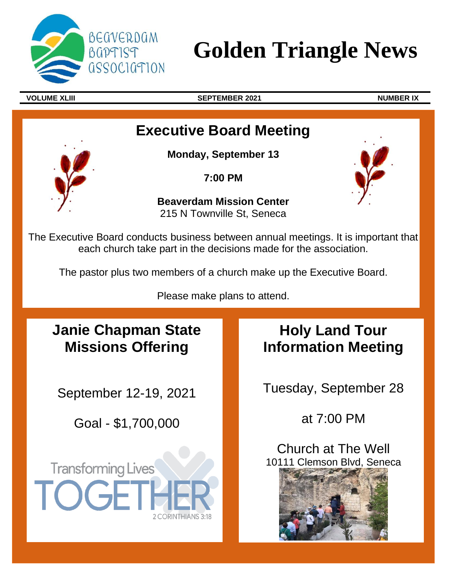

# **Golden Triangle News**

j

**VOLUME XLIII SEPTEMBER 2021 NUMBER IX**

# **Executive Board Meeting**

**Monday, September 13**

**7:00 PM**

**Beaverdam Mission Center**  215 N Townville St, Seneca



The Executive Board conducts business between annual meetings. It is important that each church take part in the decisions made for the association.

The pastor plus two members of a church make up the Executive Board.

Please make plans to attend.

# **Janie Chapman State Missions Offering**

September 12-19, 2021

Goal - \$1,700,000

**Transforming Lives** 

 $\bigcap$   $\bigcap$ 

# **Holy Land Tour Information Meeting**

Tuesday, September 28

at 7:00 PM

Church at The Well 10111 Clemson Blvd, Seneca

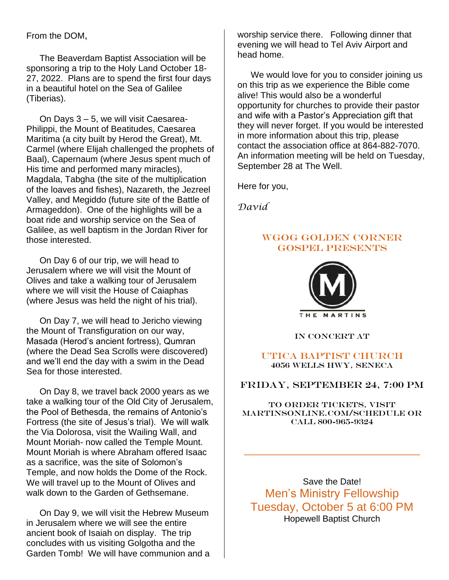From the DOM,

The Beaverdam Baptist Association will be sponsoring a trip to the Holy Land October 18- 27, 2022. Plans are to spend the first four days in a beautiful hotel on the Sea of Galilee (Tiberias).

On Days 3 – 5, we will visit Caesarea-Philippi, the Mount of Beatitudes, Caesarea Maritima (a city built by Herod the Great), Mt. Carmel (where Elijah challenged the prophets of Baal), Capernaum (where Jesus spent much of His time and performed many miracles), Magdala, Tabgha (the site of the multiplication of the loaves and fishes), Nazareth, the Jezreel Valley, and Megiddo (future site of the Battle of Armageddon). One of the highlights will be a boat ride and worship service on the Sea of Galilee, as well baptism in the Jordan River for those interested.

On Day 6 of our trip, we will head to Jerusalem where we will visit the Mount of Olives and take a walking tour of Jerusalem where we will visit the House of Caiaphas (where Jesus was held the night of his trial).

On Day 7, we will head to Jericho viewing the Mount of Transfiguration on our way, Masada (Herod's ancient fortress), Qumran (where the Dead Sea Scrolls were discovered) and we'll end the day with a swim in the Dead Sea for those interested.

On Day 8, we travel back 2000 years as we take a walking tour of the Old City of Jerusalem, the Pool of Bethesda, the remains of Antonio's Fortress (the site of Jesus's trial). We will walk the Via Dolorosa, visit the Wailing Wall, and Mount Moriah- now called the Temple Mount. Mount Moriah is where Abraham offered Isaac as a sacrifice, was the site of Solomon's Temple, and now holds the Dome of the Rock. We will travel up to the Mount of Olives and walk down to the Garden of Gethsemane.

On Day 9, we will visit the Hebrew Museum in Jerusalem where we will see the entire ancient book of Isaiah on display. The trip concludes with us visiting Golgotha and the Garden Tomb! We will have communion and a worship service there. Following dinner that evening we will head to Tel Aviv Airport and head home.

We would love for you to consider joining us on this trip as we experience the Bible come alive! This would also be a wonderful opportunity for churches to provide their pastor and wife with a Pastor's Appreciation gift that they will never forget. If you would be interested in more information about this trip, please contact the association office at 864-882-7070. An information meeting will be held on Tuesday, September 28 at The Well.

Here for you,

*David*

#### WGOG GOLDEN CORNER GOSPEL PRESENTS



IN CONCERT AT

#### Utica Baptist Church 4056 Wells Hwy, Seneca

#### Friday, September 24, 7:00 PM

To order tickets, visit martinsonline.com/schedule or call 800-965-9324

**\_\_\_\_\_\_\_\_\_\_\_\_\_\_\_\_\_\_\_\_\_\_\_\_\_\_\_\_\_\_\_\_\_\_\_\_\_\_\_\_**

Save the Date! Men's Ministry Fellowship Tuesday, October 5 at 6:00 PM Hopewell Baptist Church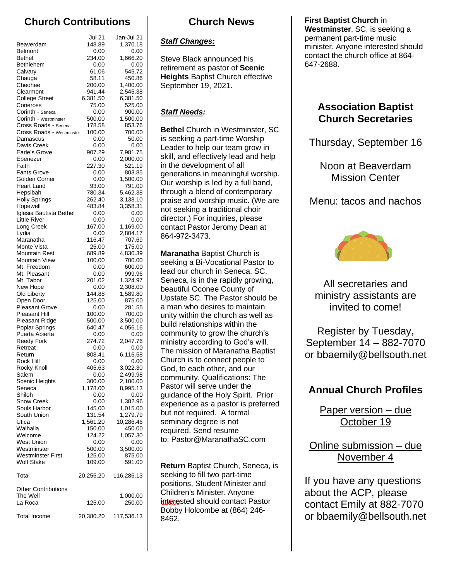# **Church Contributions**

|                                                   | Jul 21             | Jan-Jul 21           |              |
|---------------------------------------------------|--------------------|----------------------|--------------|
| Beaverdam                                         | 148.89             | 1,370.18             | <b>Staff</b> |
| <b>Belmont</b><br><b>Bethel</b>                   | 0.00<br>234.00     | 0.00<br>1,666.20     |              |
| <b>Bethlehem</b>                                  | 0.00               | 0.00                 | <b>Steve</b> |
| Calvary                                           | 61.06              | 545.72               | retirer      |
| Chauga                                            | 58.11              | 450.86               | <b>Heigh</b> |
| Cheohee                                           | 200.00             | 1,400.00             | Septe        |
| Clearmont<br><b>College Street</b>                | 941.44<br>6,381.50 | 2,545.38<br>6,381.50 |              |
| Coneross                                          | 75.00              | 525.00               |              |
| Corinth - Seneca                                  | 0.00               | 900.00               | <b>Staff</b> |
| Corinth - Westminster                             | 500.00             | 1,500.00             |              |
| Cross Roads - Seneca<br>Cross Roads - Westminster | 178.58<br>100.00   | 853.76<br>700.00     | <b>Bethe</b> |
| Damascus                                          | 0.00               | 50.00                | is see       |
| Davis Creek                                       | 0.00               | 0.00                 | Leade        |
| Earle's Grove                                     | 907.29             | 7,981.75             | skill, a     |
| Ebenezer<br>Faith                                 | 0.00<br>227.30     | 2,000.00             | in the       |
| <b>Fants Grove</b>                                | 0.00               | 521.19<br>803.85     |              |
| Golden Corner                                     | 0.00               | 1,500.00             | gener        |
| Heart Land                                        | 93.00              | 791.00               | Our w        |
| Hepsibah                                          | 780.34             | 5,462.38             | throu        |
| <b>Holly Springs</b><br>Hopewell                  | 262.40<br>483.84   | 3,138.10<br>3,358.31 | praise       |
| Iglesia Bautista Bethel                           | 0.00               | 0.00                 | not se       |
| <b>Little River</b>                               | 0.00               | 0.00                 | direct       |
| Long Creek                                        | 167.00             | 1,169.00             | conta        |
| Lydia                                             | 0.00               | 2,804.17             | 864-9        |
| Maranatha                                         | 116.47             | 707.69               |              |
| Monte Vista<br><b>Mountain Rest</b>               | 25.00<br>689.89    | 175.00<br>4,830.39   | Mara         |
| <b>Mountain View</b>                              | 100.00             | 700.00               | seeki        |
| Mt. Freedom                                       | 0.00               | 600.00               |              |
| Mt. Pleasant                                      | 0.00               | 999.96               | lead o       |
| Mt. Tabor                                         | 201.02             | 1,324.97             | <b>Sene</b>  |
| New Hope<br>Old Liberty                           | 0.00<br>144.88     | 2,308.00<br>1,589.80 | beaut        |
| Open Door                                         | 125.00             | 875.00               | Upsta        |
| <b>Pleasant Grove</b>                             | 0.00               | 281.55               | a mar        |
| Pleasant Hill                                     | 100.00             | 700.00               | unity '      |
| <b>Pleasant Ridge</b><br>Poplar Springs           | 500.00<br>640.47   | 3,500.00<br>4,056.16 | build        |
| Puerta Abierta                                    | 0.00               | 0.00                 | comm         |
| <b>Reedy Fork</b>                                 | 274.72             | 2,047.76             | minisl       |
| Retreat                                           | 0.00               | 0.00                 | The n        |
| Return                                            | 808.41             | 6,116.58             | Churo        |
| Rock Hill<br>Rocky Knoll                          | 0.00<br>405.63     | 0.00<br>3,022.30     |              |
| Salem                                             | 0.00               | 2,499.98             | God,         |
| <b>Scenic Heights</b>                             | 300.00             | 2,100.00             | comm         |
| Seneca                                            | 1,178.00           | 8,995.13             | Pasto        |
| Shiloh                                            | 0.00               | 0.00                 | guida        |
| <b>Snow Creek</b><br>Souls Harbor                 | 0.00<br>145.00     | 1,382.96<br>1,015.00 | exper        |
| South Union                                       | 131.54             | 1,279.79             | but no       |
| Utica                                             | 1,561.20           | 10,286.46            | semir        |
| Walhalla                                          | 150.00             | 450.00               | requir       |
| Welcome                                           | 124.22             | 1,057.30             | to: Pa       |
| <b>West Union</b><br>Westminster                  | 0.00<br>500.00     | 0.00<br>3,500.00     |              |
| <b>Westminster First</b>                          | 125.00             | 875.00               |              |
| <b>Wolf Stake</b>                                 | 109.00             | 591.00               |              |
|                                                   |                    |                      | Retur        |
| Total                                             | 20,255.20          | 116,286.13           | seeki        |
| <b>Other Contributions</b>                        |                    |                      | positi       |
| The Well                                          |                    | 1,000.00             | Childi       |
| La Roca                                           | 125.00             | 250.00               | intero       |
|                                                   |                    |                      | Bobb         |
| <b>Total Income</b>                               | 20,380.20          | 117,536.13           | 8462.        |

## **Church News**

#### *Staff Changes:*

Steve Black announced his retirement as pastor of **Scenic Heights** Baptist Church effective September 19, 2021.

### *Staff Needs:*

**Bethel** Church in Westminster, SC is seeking a part-time Worship Leader to help our team grow in skill, and effectively lead and help in the development of all generations in meaningful worship. Our worship is led by a full band, through a blend of contemporary praise and worship music. (We are not seeking a traditional choir director.) For inquiries, please contact Pastor Jeromy Dean at 864-972-3473.

**Maranatha** Baptist Church is seeking a Bi-Vocational Pastor to lead our church in Seneca, SC. Seneca, is in the rapidly growing, beautiful Oconee County of Upstate SC. The Pastor should be a man who desires to maintain unity within the church as well as build relationships within the community to grow the church's ministry according to God's will. The mission of Maranatha Baptist Church is to connect people to God, to each other, and our community. Qualifications: The Pastor will serve under the guidance of the Holy Spirit. Prior experience as a pastor is preferred but not required. A formal seminary degree is not required. Send resume to: Pastor@MaranathaSC.com

**Return** Baptist Church, Seneca, is seeking to fill two part-time positions, Student Minister and Children's Minister. Anyone interested should contact Pastor Bobby Holcombe at (864) 246- 8462.

**First Baptist Church** in **Westminster**, SC, is seeking a permanent part-time music minister. Anyone interested should contact the church office at 864- 647-2688.

### **Association Baptist Church Secretaries**

Thursday, September 16

Noon at Beaverdam Mission Center

Menu: tacos and nachos



All secretaries and ministry assistants are invited to come!

Register by Tuesday, September 14 – 882-7070 or bbaemily@bellsouth.net

# **Annual Church Profiles**

Paper version – due October 19

Online submission – due November 4

If you have any questions about the ACP, please contact Emily at 882-7070 or bbaemily@bellsouth.net